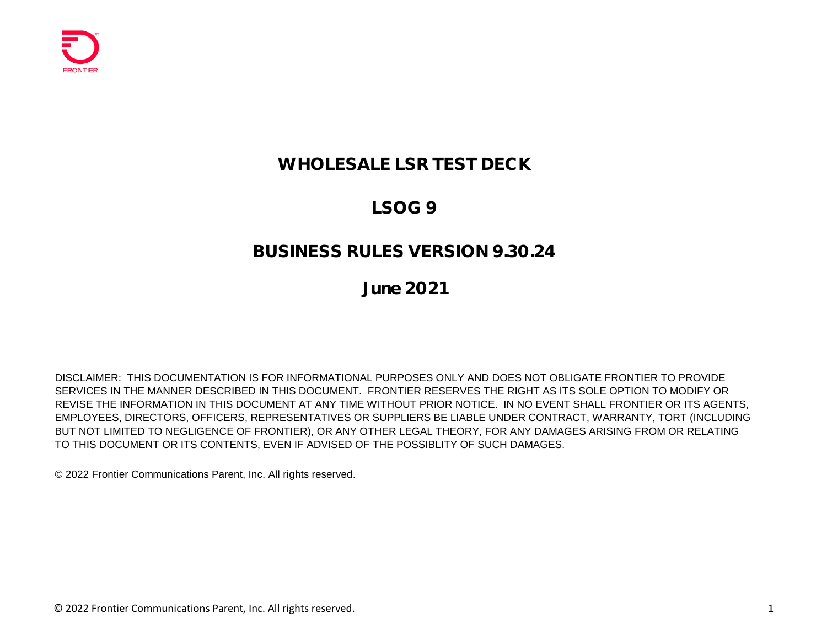

## **WHOLESALE LSR TEST DECK**

# **LSOG 9**

#### **BUSINESS RULES VERSION 9.30.24**

## **June 2021**

DISCLAIMER: THIS DOCUMENTATION IS FOR INFORMATIONAL PURPOSES ONLY AND DOES NOT OBLIGATE FRONTIER TO PROVIDE SERVICES IN THE MANNER DESCRIBED IN THIS DOCUMENT. FRONTIER RESERVES THE RIGHT AS ITS SOLE OPTION TO MODIFY OR REVISE THE INFORMATION IN THIS DOCUMENT AT ANY TIME WITHOUT PRIOR NOTICE. IN NO EVENT SHALL FRONTIER OR ITS AGENTS, EMPLOYEES, DIRECTORS, OFFICERS, REPRESENTATIVES OR SUPPLIERS BE LIABLE UNDER CONTRACT, WARRANTY, TORT (INCLUDING BUT NOT LIMITED TO NEGLIGENCE OF FRONTIER), OR ANY OTHER LEGAL THEORY, FOR ANY DAMAGES ARISING FROM OR RELATING TO THIS DOCUMENT OR ITS CONTENTS, EVEN IF ADVISED OF THE POSSIBLITY OF SUCH DAMAGES.

© 2022 Frontier Communications Parent, Inc. All rights reserved.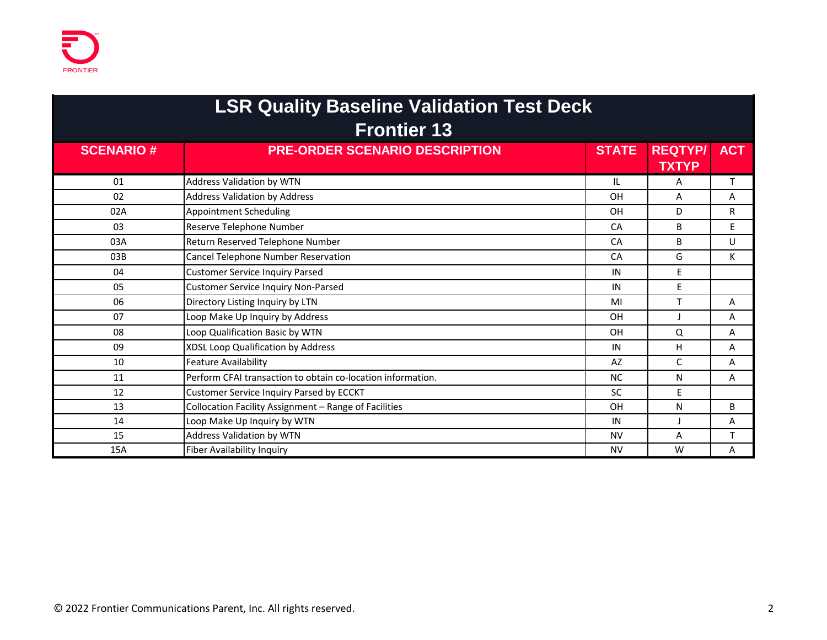| <b>LSR Quality Baseline Validation Test Deck</b><br><b>Frontier 13</b> |                                                             |              |                                |              |  |
|------------------------------------------------------------------------|-------------------------------------------------------------|--------------|--------------------------------|--------------|--|
| <b>SCENARIO#</b>                                                       | <b>PRE-ORDER SCENARIO DESCRIPTION</b>                       | <b>STATE</b> | <b>REQTYP/</b><br><b>TXTYP</b> | <b>ACT</b>   |  |
| 01                                                                     | <b>Address Validation by WTN</b>                            | IL           | A                              | T.           |  |
| 02                                                                     | <b>Address Validation by Address</b>                        | OH           | A                              | A            |  |
| 02A                                                                    | <b>Appointment Scheduling</b>                               | OH           | D.                             | $\mathsf{R}$ |  |
| 03                                                                     | Reserve Telephone Number                                    | <b>CA</b>    | B                              | E            |  |
| 03A                                                                    | Return Reserved Telephone Number                            | <b>CA</b>    | B                              | U            |  |
| 03B                                                                    | Cancel Telephone Number Reservation                         | CA           | G                              | К            |  |
| 04                                                                     | <b>Customer Service Inquiry Parsed</b>                      | IN           | E.                             |              |  |
| 05                                                                     | <b>Customer Service Inquiry Non-Parsed</b>                  | IN           | E                              |              |  |
| 06                                                                     | Directory Listing Inquiry by LTN                            | MI           | T                              | A            |  |
| 07                                                                     | Loop Make Up Inquiry by Address                             | <b>OH</b>    |                                | A            |  |
| 08                                                                     | Loop Qualification Basic by WTN                             | <b>OH</b>    | Q                              | A            |  |
| 09                                                                     | XDSL Loop Qualification by Address                          | IN           | H.                             | A            |  |
| 10                                                                     | Feature Availability                                        | AZ           | C                              | A            |  |
| 11                                                                     | Perform CFAI transaction to obtain co-location information. | <b>NC</b>    | N                              | A            |  |
| 12                                                                     | Customer Service Inquiry Parsed by ECCKT                    | <b>SC</b>    | F.                             |              |  |
| 13                                                                     | Collocation Facility Assignment - Range of Facilities       | OH           | N                              | B            |  |
| 14                                                                     | Loop Make Up Inquiry by WTN                                 | IN           |                                | A            |  |
| 15                                                                     | Address Validation by WTN                                   | <b>NV</b>    | A                              | $\mathsf{T}$ |  |
| 15A                                                                    | <b>Fiber Availability Inquiry</b>                           | <b>NV</b>    | W                              | A            |  |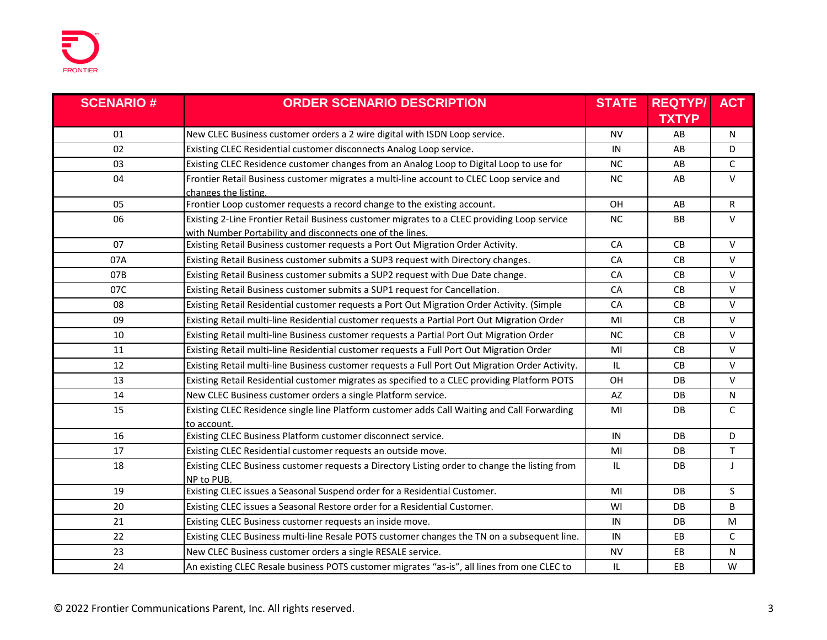| <b>SCENARIO#</b> | <b>ORDER SCENARIO DESCRIPTION</b>                                                                                                                        | <b>STATE</b> | <b>REQTYP/</b> | <b>ACT</b> |
|------------------|----------------------------------------------------------------------------------------------------------------------------------------------------------|--------------|----------------|------------|
|                  |                                                                                                                                                          |              | <b>TXTYP</b>   |            |
| 01               | New CLEC Business customer orders a 2 wire digital with ISDN Loop service.                                                                               | NV           | AB             | N          |
| 02               | Existing CLEC Residential customer disconnects Analog Loop service.                                                                                      | IN           | AB             | D          |
| 03               | Existing CLEC Residence customer changes from an Analog Loop to Digital Loop to use for                                                                  | <b>NC</b>    | AB             | C          |
| 04               | Frontier Retail Business customer migrates a multi-line account to CLEC Loop service and<br>changes the listing.                                         | <b>NC</b>    | AB             | $\vee$     |
| 05               | Frontier Loop customer requests a record change to the existing account.                                                                                 | OH           | AB             | R          |
| 06               | Existing 2-Line Frontier Retail Business customer migrates to a CLEC providing Loop service<br>with Number Portability and disconnects one of the lines. | NC           | <b>BB</b>      | $\vee$     |
| 07               | Existing Retail Business customer requests a Port Out Migration Order Activity.                                                                          | CA           | CB             | $\vee$     |
| 07A              | Existing Retail Business customer submits a SUP3 request with Directory changes.                                                                         | CA           | CB             | $\vee$     |
| 07B              | Existing Retail Business customer submits a SUP2 request with Due Date change.                                                                           | CA           | CB             | $\vee$     |
| 07C              | Existing Retail Business customer submits a SUP1 request for Cancellation.                                                                               | CA           | CB             | $\vee$     |
| 08               | Existing Retail Residential customer requests a Port Out Migration Order Activity. (Simple                                                               | CA           | CB             | $\vee$     |
| 09               | Existing Retail multi-line Residential customer requests a Partial Port Out Migration Order                                                              | MI           | CB.            | $\vee$     |
| 10               | Existing Retail multi-line Business customer requests a Partial Port Out Migration Order                                                                 | <b>NC</b>    | CB             | $\vee$     |
| 11               | Existing Retail multi-line Residential customer requests a Full Port Out Migration Order                                                                 | MI           | CB             | $\vee$     |
| 12               | Existing Retail multi-line Business customer requests a Full Port Out Migration Order Activity.                                                          | IL.          | CB             | V          |
| 13               | Existing Retail Residential customer migrates as specified to a CLEC providing Platform POTS                                                             | OH           | DB             | $\vee$     |
| 14               | New CLEC Business customer orders a single Platform service.                                                                                             | AZ           | DB.            | N          |
| 15               | Existing CLEC Residence single line Platform customer adds Call Waiting and Call Forwarding<br>to account.                                               | MI           | DB             | C          |
| 16               | Existing CLEC Business Platform customer disconnect service.                                                                                             | IN           | DB.            | D          |
| 17               | Existing CLEC Residential customer requests an outside move.                                                                                             | MI           | DB             | T          |
| 18               | Existing CLEC Business customer requests a Directory Listing order to change the listing from<br>NP to PUB.                                              | IL           | DB             | J          |
| 19               | Existing CLEC issues a Seasonal Suspend order for a Residential Customer.                                                                                | MI           | DB             | S          |
| 20               | Existing CLEC issues a Seasonal Restore order for a Residential Customer.                                                                                | WI           | DB             | B          |
| 21               | Existing CLEC Business customer requests an inside move.                                                                                                 | IN           | DB             | M          |
| 22               | Existing CLEC Business multi-line Resale POTS customer changes the TN on a subsequent line.                                                              | IN           | EB             | C          |
| 23               | New CLEC Business customer orders a single RESALE service.                                                                                               | <b>NV</b>    | EB             | N          |
| 24               | An existing CLEC Resale business POTS customer migrates "as-is", all lines from one CLEC to                                                              | IL           | EB             | W          |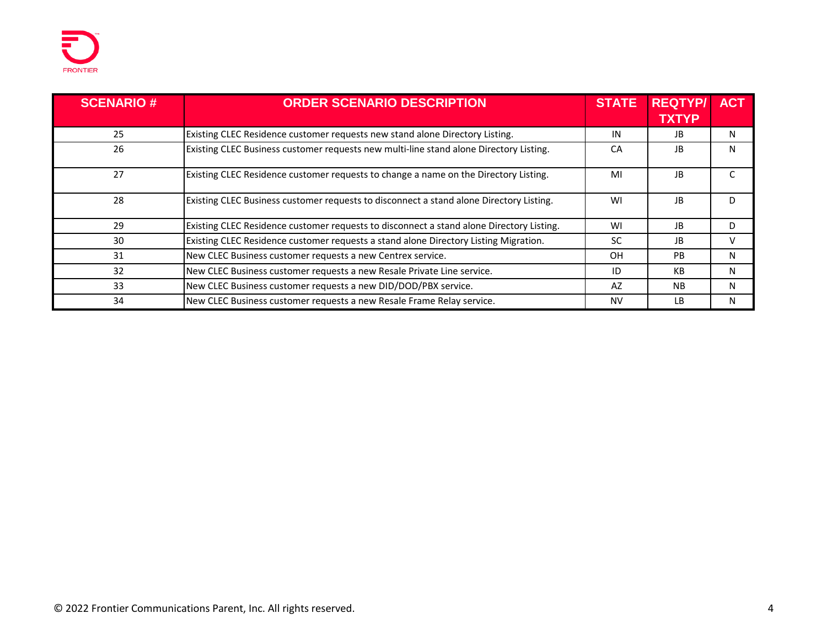| <b>SCENARIO#</b> | <b>ORDER SCENARIO DESCRIPTION</b>                                                        | <b>STATE</b> | <b>REQTYP/</b> | <b>ACT</b> |
|------------------|------------------------------------------------------------------------------------------|--------------|----------------|------------|
|                  |                                                                                          |              | <b>TXTYP</b>   |            |
| 25               | Existing CLEC Residence customer requests new stand alone Directory Listing.             | IN           | JB             | N          |
| 26               | Existing CLEC Business customer requests new multi-line stand alone Directory Listing.   | CA           | JB.            | N          |
| 27               | Existing CLEC Residence customer requests to change a name on the Directory Listing.     | MI           | JB.            |            |
| 28               | Existing CLEC Business customer requests to disconnect a stand alone Directory Listing.  | WI           | JB.            | D.         |
| 29               | Existing CLEC Residence customer requests to disconnect a stand alone Directory Listing. | WI           | JB             | D          |
| 30               | Existing CLEC Residence customer requests a stand alone Directory Listing Migration.     | <b>SC</b>    | JB             |            |
| 31               | New CLEC Business customer requests a new Centrex service.                               | <b>OH</b>    | <b>PB</b>      | N          |
| 32               | New CLEC Business customer requests a new Resale Private Line service.                   | ID           | KB             | N          |
| 33               | New CLEC Business customer requests a new DID/DOD/PBX service.                           | AZ           | <b>NB</b>      | N          |
| 34               | New CLEC Business customer requests a new Resale Frame Relay service.                    | <b>NV</b>    | I B            | N          |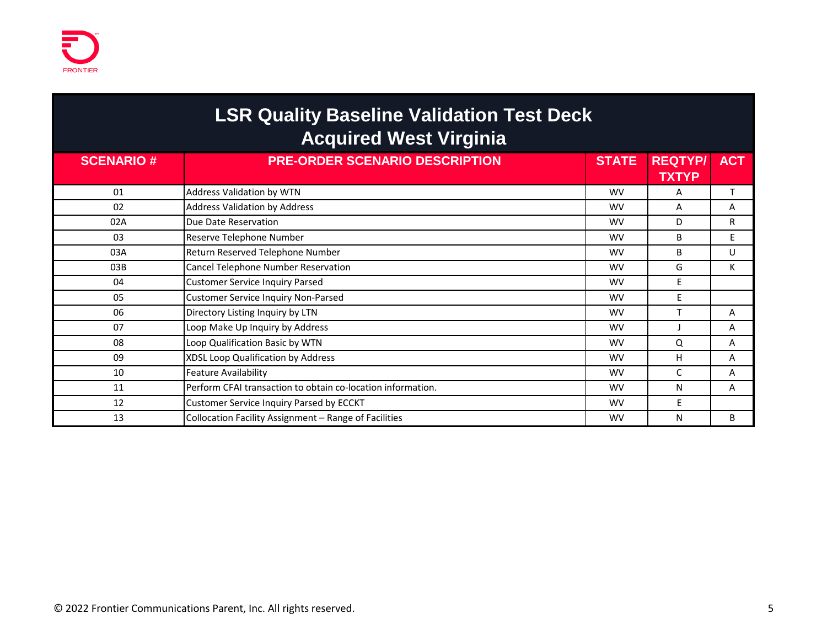# **LSR Quality Baseline Validation Test Deck Acquired West Virginia**

| <b>SCENARIO#</b> | <b>PRE-ORDER SCENARIO DESCRIPTION</b>                       | <b>STATE</b> | <b>REQTYP/</b> | <b>ACT</b> |
|------------------|-------------------------------------------------------------|--------------|----------------|------------|
|                  |                                                             |              | <b>TXTYP</b>   |            |
| 01               | Address Validation by WTN                                   | <b>WV</b>    | A              |            |
| 02               | <b>Address Validation by Address</b>                        | <b>WV</b>    | A              | A          |
| 02A              | Due Date Reservation                                        | <b>WV</b>    | D              | R.         |
| 03               | Reserve Telephone Number                                    | <b>WV</b>    | B              | E          |
| 03A              | Return Reserved Telephone Number                            | <b>WV</b>    | B              | U          |
| 03B              | Cancel Telephone Number Reservation                         | <b>WV</b>    | G              | К          |
| 04               | <b>Customer Service Inquiry Parsed</b>                      | <b>WV</b>    | E              |            |
| 05               | <b>Customer Service Inquiry Non-Parsed</b>                  | <b>WV</b>    | E              |            |
| 06               | Directory Listing Inquiry by LTN                            | <b>WV</b>    |                | A          |
| 07               | Loop Make Up Inquiry by Address                             | <b>WV</b>    |                | A          |
| 08               | Loop Qualification Basic by WTN                             | <b>WV</b>    | Q              | A          |
| 09               | XDSL Loop Qualification by Address                          | <b>WV</b>    | H              | A          |
| 10               | <b>Feature Availability</b>                                 | <b>WV</b>    | C              | A          |
| 11               | Perform CFAI transaction to obtain co-location information. | <b>WV</b>    | N              | A          |
| 12               | Customer Service Inquiry Parsed by ECCKT                    | <b>WV</b>    | E              |            |
| 13               | Collocation Facility Assignment - Range of Facilities       | <b>WV</b>    | N              | B          |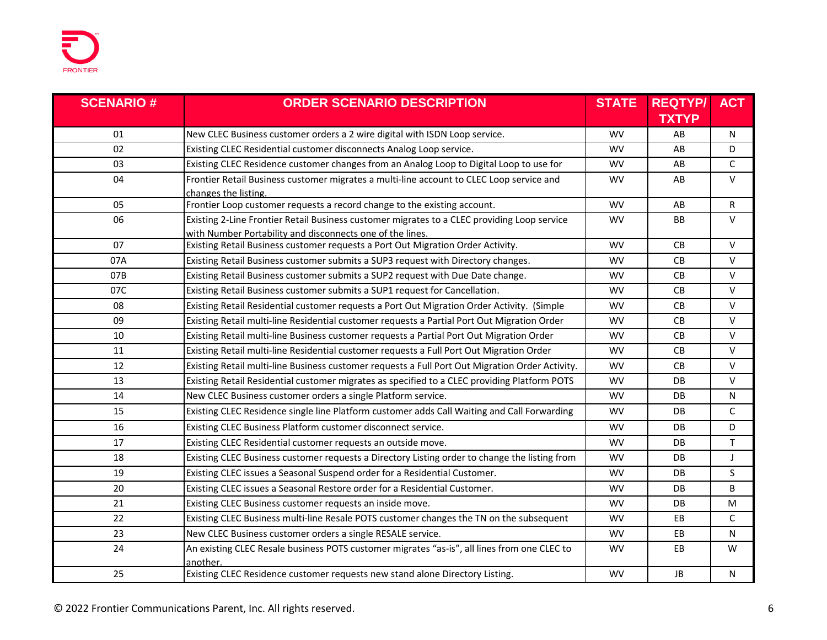| <b>SCENARIO#</b> | <b>ORDER SCENARIO DESCRIPTION</b>                                                                                                                        | <b>STATE</b> | <b>REQTYP/</b> | <b>ACT</b> |
|------------------|----------------------------------------------------------------------------------------------------------------------------------------------------------|--------------|----------------|------------|
|                  |                                                                                                                                                          |              | <b>TXTYP</b>   |            |
| 01               | New CLEC Business customer orders a 2 wire digital with ISDN Loop service.                                                                               | <b>WV</b>    | AB             | N          |
| 02               | Existing CLEC Residential customer disconnects Analog Loop service.                                                                                      | <b>WV</b>    | AB             | D          |
| 03               | Existing CLEC Residence customer changes from an Analog Loop to Digital Loop to use for                                                                  | <b>WV</b>    | AB             | C          |
| 04               | Frontier Retail Business customer migrates a multi-line account to CLEC Loop service and<br>changes the listing.                                         | <b>WV</b>    | AB             | $\vee$     |
| 05               | Frontier Loop customer requests a record change to the existing account.                                                                                 | <b>WV</b>    | AB             | R          |
| 06               | Existing 2-Line Frontier Retail Business customer migrates to a CLEC providing Loop service<br>with Number Portability and disconnects one of the lines. | <b>WV</b>    | BB             | $\vee$     |
| 07               | Existing Retail Business customer requests a Port Out Migration Order Activity.                                                                          | <b>WV</b>    | CB             | $\vee$     |
| 07A              | Existing Retail Business customer submits a SUP3 request with Directory changes.                                                                         | <b>WV</b>    | CB             | $\vee$     |
| 07B              | Existing Retail Business customer submits a SUP2 request with Due Date change.                                                                           | <b>WV</b>    | CB             | $\vee$     |
| 07C              | Existing Retail Business customer submits a SUP1 request for Cancellation.                                                                               | <b>WV</b>    | CB             | $\vee$     |
| 08               | Existing Retail Residential customer requests a Port Out Migration Order Activity. (Simple                                                               | <b>WV</b>    | CB             | $\vee$     |
| 09               | Existing Retail multi-line Residential customer requests a Partial Port Out Migration Order                                                              | <b>WV</b>    | CB             | $\vee$     |
| 10               | Existing Retail multi-line Business customer requests a Partial Port Out Migration Order                                                                 | <b>WV</b>    | CB             | $\vee$     |
| 11               | Existing Retail multi-line Residential customer requests a Full Port Out Migration Order                                                                 | <b>WV</b>    | CB             | $\vee$     |
| 12               | Existing Retail multi-line Business customer requests a Full Port Out Migration Order Activity.                                                          | <b>WV</b>    | C <sub>B</sub> | $\vee$     |
| 13               | Existing Retail Residential customer migrates as specified to a CLEC providing Platform POTS                                                             | <b>WV</b>    | DB             | $\vee$     |
| 14               | New CLEC Business customer orders a single Platform service.                                                                                             | <b>WV</b>    | D <sub>B</sub> | N          |
| 15               | Existing CLEC Residence single line Platform customer adds Call Waiting and Call Forwarding                                                              | <b>WV</b>    | DB             | C          |
| 16               | Existing CLEC Business Platform customer disconnect service.                                                                                             | <b>WV</b>    | DB             | D          |
| 17               | Existing CLEC Residential customer requests an outside move.                                                                                             | <b>WV</b>    | D <sub>B</sub> | Τ          |
| 18               | Existing CLEC Business customer requests a Directory Listing order to change the listing from                                                            | <b>WV</b>    | DB             | $\perp$    |
| 19               | Existing CLEC issues a Seasonal Suspend order for a Residential Customer.                                                                                | <b>WV</b>    | DB             | S.         |
| 20               | Existing CLEC issues a Seasonal Restore order for a Residential Customer.                                                                                | <b>WV</b>    | DB             | B          |
| 21               | Existing CLEC Business customer requests an inside move.                                                                                                 | <b>WV</b>    | DB             | M          |
| 22               | Existing CLEC Business multi-line Resale POTS customer changes the TN on the subsequent                                                                  | <b>WV</b>    | EB             | C          |
| 23               | New CLEC Business customer orders a single RESALE service.                                                                                               | <b>WV</b>    | EB             | N          |
| 24               | An existing CLEC Resale business POTS customer migrates "as-is", all lines from one CLEC to<br>another.                                                  | <b>WV</b>    | EB             | W          |
| 25               | Existing CLEC Residence customer requests new stand alone Directory Listing.                                                                             | <b>WV</b>    | <b>JB</b>      | N          |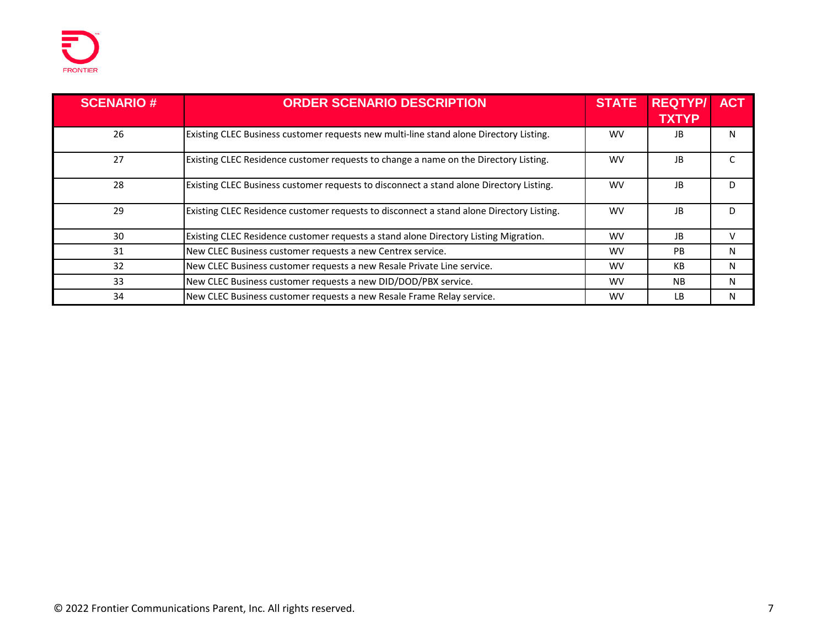

| <b>SCENARIO#</b> | <b>ORDER SCENARIO DESCRIPTION</b>                                                        | <b>STATE</b> | <b>REQTYP/</b><br><b>TXTYP</b> | <b>ACT</b> |
|------------------|------------------------------------------------------------------------------------------|--------------|--------------------------------|------------|
|                  |                                                                                          |              |                                |            |
| 26               | Existing CLEC Business customer requests new multi-line stand alone Directory Listing.   | <b>WV</b>    | JB.                            | N          |
| 27               | Existing CLEC Residence customer requests to change a name on the Directory Listing.     | <b>WV</b>    | JB.                            |            |
| 28               | Existing CLEC Business customer requests to disconnect a stand alone Directory Listing.  | <b>WV</b>    | JB.                            | D          |
| 29               | Existing CLEC Residence customer requests to disconnect a stand alone Directory Listing. | <b>WV</b>    | JB.                            | D.         |
| 30               | Existing CLEC Residence customer requests a stand alone Directory Listing Migration.     | <b>WV</b>    | JB                             | v          |
| 31               | New CLEC Business customer requests a new Centrex service.                               | <b>WV</b>    | <b>PB</b>                      | N          |
| 32               | New CLEC Business customer requests a new Resale Private Line service.                   | <b>WV</b>    | КB                             | N          |
| 33               | New CLEC Business customer requests a new DID/DOD/PBX service.                           | <b>WV</b>    | <b>NB</b>                      | N          |
| 34               | New CLEC Business customer requests a new Resale Frame Relay service.                    | <b>WV</b>    | I B                            | N          |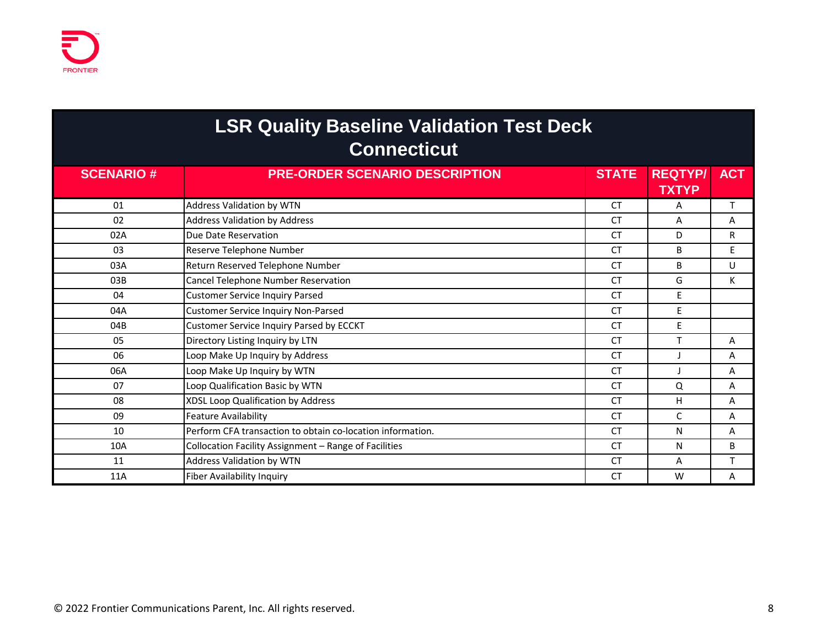| <b>LSR Quality Baseline Validation Test Deck</b> |
|--------------------------------------------------|
|                                                  |

| <b>SCENARIO#</b> | <b>PRE-ORDER SCENARIO DESCRIPTION</b>                      | <b>STATE</b> | <b>REQTYP/</b><br><b>TXTYP</b> | <b>ACT</b> |
|------------------|------------------------------------------------------------|--------------|--------------------------------|------------|
| 01               | Address Validation by WTN                                  | <b>CT</b>    | A                              | T          |
| 02               | <b>Address Validation by Address</b>                       | <b>CT</b>    | A                              | A          |
| 02A              | Due Date Reservation                                       | <b>CT</b>    | D                              | R          |
| 03               | Reserve Telephone Number                                   | <b>CT</b>    | <sub>B</sub>                   | E          |
| 03A              | Return Reserved Telephone Number                           | <b>CT</b>    | B                              | U          |
| 03B              | Cancel Telephone Number Reservation                        | <b>CT</b>    | G                              | К          |
| 04               | <b>Customer Service Inquiry Parsed</b>                     | <b>CT</b>    | E                              |            |
| 04A              | <b>Customer Service Inquiry Non-Parsed</b>                 | <b>CT</b>    | E                              |            |
| 04B              | Customer Service Inquiry Parsed by ECCKT                   | <b>CT</b>    | E                              |            |
| 05               | Directory Listing Inquiry by LTN                           | <b>CT</b>    |                                | A          |
| 06               | Loop Make Up Inquiry by Address                            | <b>CT</b>    |                                | A          |
| 06A              | Loop Make Up Inquiry by WTN                                | <b>CT</b>    |                                | A          |
| 07               | Loop Qualification Basic by WTN                            | <b>CT</b>    | Q                              | A          |
| 08               | XDSL Loop Qualification by Address                         | <b>CT</b>    | н                              | A          |
| 09               | <b>Feature Availability</b>                                | <b>CT</b>    | C                              | A          |
| 10               | Perform CFA transaction to obtain co-location information. | <b>CT</b>    | N                              | A          |
| 10A              | Collocation Facility Assignment - Range of Facilities      | <b>CT</b>    | N                              | B          |
| 11               | Address Validation by WTN                                  | <b>CT</b>    | A                              | $\mathbf$  |
| 11A              | <b>Fiber Availability Inquiry</b>                          | <b>CT</b>    | W                              | A          |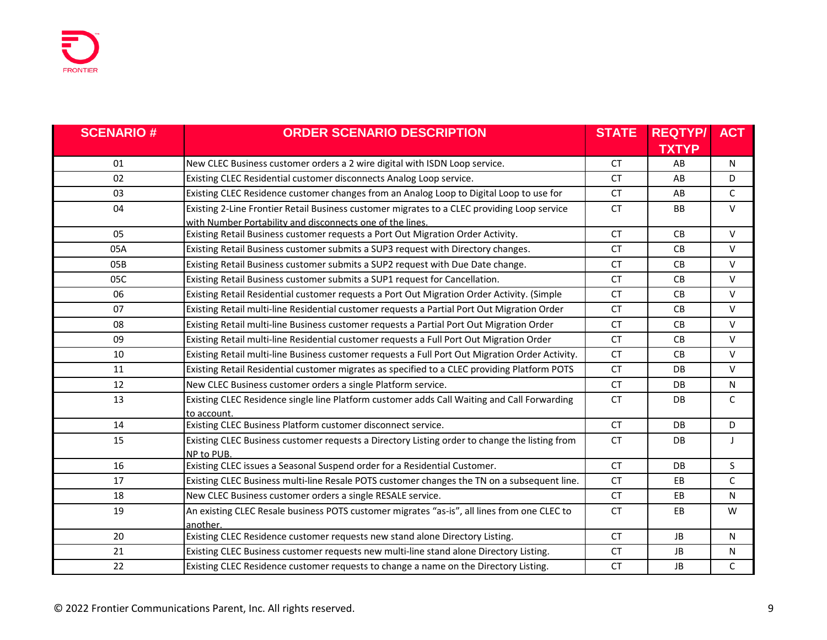| <b>SCENARIO#</b> | <b>ORDER SCENARIO DESCRIPTION</b>                                                               | <b>STATE</b> | <b>REQTYP/</b> | <b>ACT</b> |
|------------------|-------------------------------------------------------------------------------------------------|--------------|----------------|------------|
|                  |                                                                                                 |              | <b>TXTYP</b>   |            |
| 01               | New CLEC Business customer orders a 2 wire digital with ISDN Loop service.                      | <b>CT</b>    | AB             | N          |
| 02               | Existing CLEC Residential customer disconnects Analog Loop service.                             | <b>CT</b>    | AB             | D          |
| 03               | Existing CLEC Residence customer changes from an Analog Loop to Digital Loop to use for         | <b>CT</b>    | AB             | C          |
| 04               | Existing 2-Line Frontier Retail Business customer migrates to a CLEC providing Loop service     | <b>CT</b>    | <b>BB</b>      | $\vee$     |
|                  | with Number Portability and disconnects one of the lines.                                       |              |                |            |
| 05               | Existing Retail Business customer requests a Port Out Migration Order Activity.                 | <b>CT</b>    | CB             | $\vee$     |
| 05A              | Existing Retail Business customer submits a SUP3 request with Directory changes.                | <b>CT</b>    | CB             | $\vee$     |
| 05B              | Existing Retail Business customer submits a SUP2 request with Due Date change.                  | <b>CT</b>    | <b>CB</b>      | $\vee$     |
| 05C              | Existing Retail Business customer submits a SUP1 request for Cancellation.                      | <b>CT</b>    | CB             | $\vee$     |
| 06               | Existing Retail Residential customer requests a Port Out Migration Order Activity. (Simple      | <b>CT</b>    | <b>CB</b>      | $\vee$     |
| 07               | Existing Retail multi-line Residential customer requests a Partial Port Out Migration Order     | <b>CT</b>    | CB             | $\vee$     |
| 08               | Existing Retail multi-line Business customer requests a Partial Port Out Migration Order        | <b>CT</b>    | CB             | $\vee$     |
| 09               | Existing Retail multi-line Residential customer requests a Full Port Out Migration Order        | <b>CT</b>    | <b>CB</b>      | $\vee$     |
| 10               | Existing Retail multi-line Business customer requests a Full Port Out Migration Order Activity. | <b>CT</b>    | CB             | $\vee$     |
| 11               | Existing Retail Residential customer migrates as specified to a CLEC providing Platform POTS    | <b>CT</b>    | DB             | $\vee$     |
| 12               | New CLEC Business customer orders a single Platform service.                                    | <b>CT</b>    | <b>DB</b>      | N          |
| 13               | Existing CLEC Residence single line Platform customer adds Call Waiting and Call Forwarding     | <b>CT</b>    | DB             | C          |
|                  | to account.                                                                                     |              |                |            |
| 14               | Existing CLEC Business Platform customer disconnect service.                                    | <b>CT</b>    | DB.            | D          |
| 15               | Existing CLEC Business customer requests a Directory Listing order to change the listing from   | <b>CT</b>    | DB             | $\perp$    |
|                  | NP to PUB.                                                                                      |              |                |            |
| 16               | Existing CLEC issues a Seasonal Suspend order for a Residential Customer.                       | <b>CT</b>    | DB             | S.         |
| 17               | Existing CLEC Business multi-line Resale POTS customer changes the TN on a subsequent line.     | <b>CT</b>    | EB             | C          |
| 18               | New CLEC Business customer orders a single RESALE service.                                      | <b>CT</b>    | EB             | N          |
| 19               | An existing CLEC Resale business POTS customer migrates "as-is", all lines from one CLEC to     | <b>CT</b>    | EB             | W          |
|                  | another.                                                                                        |              |                |            |
| 20               | Existing CLEC Residence customer requests new stand alone Directory Listing.                    | <b>CT</b>    | <b>JB</b>      | N          |
| 21               | Existing CLEC Business customer requests new multi-line stand alone Directory Listing.          | <b>CT</b>    | JB             | N          |
| 22               | Existing CLEC Residence customer requests to change a name on the Directory Listing.            | <b>CT</b>    | <b>JB</b>      | C          |